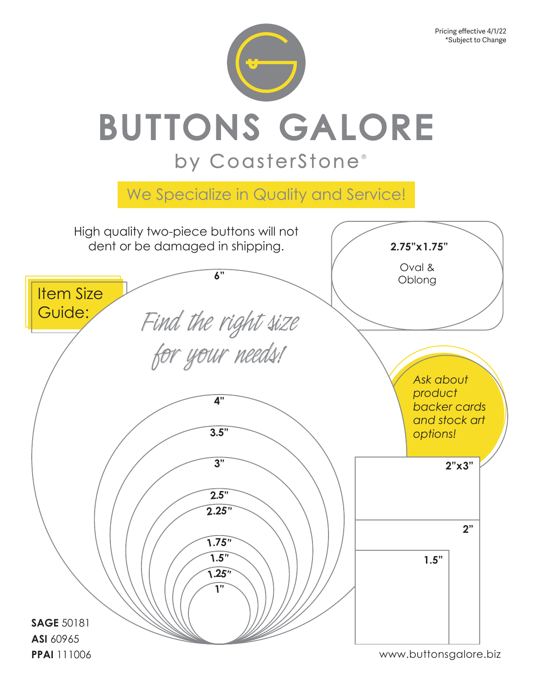